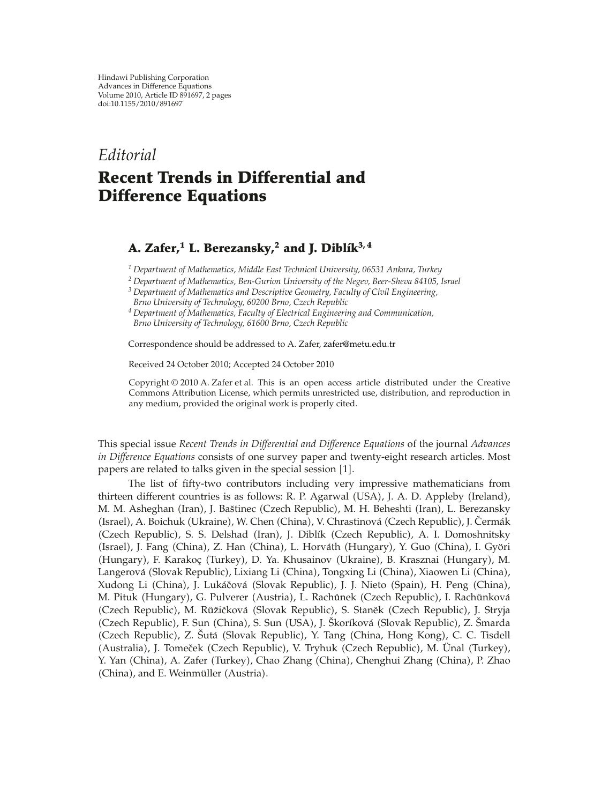## *Editorial*

## **Recent Trends in Differential and Difference Equations**

## A. Zafer,<sup>1</sup> L. Berezansky,<sup>2</sup> and J. Diblík<sup>3, 4</sup>

*<sup>1</sup> Department of Mathematics, Middle East Technical University, 06531 Ankara, Turkey*

- *<sup>2</sup> Department of Mathematics, Ben-Gurion University of the Negev, Beer-Sheva 84105, Israel*
- *<sup>3</sup> Department of Mathematics and Descriptive Geometry, Faculty of Civil Engineering,*
- *Brno University of Technology, 60200 Brno, Czech Republic*
- *<sup>4</sup> Department of Mathematics, Faculty of Electrical Engineering and Communication, Brno University of Technology, 61600 Brno, Czech Republic*

Correspondence should be addressed to A. Zafer, zafer@metu.edu.tr

Received 24 October 2010; Accepted 24 October 2010

Copyright © 2010 A. Zafer et al. This is an open access article distributed under the Creative Commons Attribution License, which permits unrestricted use, distribution, and reproduction in any medium, provided the original work is properly cited.

This special issue *Recent Trends in Differential and Difference Equations* of the journal *Advances in Difference Equations* consists of one survey paper and twenty-eight research articles. Most papers are related to talks given in the special session [1].

The list of fifty-two contributors including very impressive mathematicians from thirteen different countries is as follows: R. P. Agarwal (USA), J. A. D. Appleby (Ireland), M. M. Asheghan (Iran), J. Baštinec (Czech Republic), M. H. Beheshti (Iran), L. Berezansky (Israel), A. Boichuk (Ukraine), W. Chen (China), V. Chrastinová (Czech Republic), J. Čermák (Czech Republic), S. S. Delshad (Iran), J. Diblík (Czech Republic), A. I. Domoshnitsky (Israel), J. Fang (China), Z. Han (China), L. Horváth (Hungary), Y. Guo (China), I. Györi (Hungary), F. Karakoç (Turkey), D. Ya. Khusainov (Ukraine), B. Krasznai (Hungary), M. Langerová (Slovak Republic), Lixiang Li (China), Tongxing Li (China), Xiaowen Li (China), Xudong Li (China), J. Lukáčová (Slovak Republic), J. J. Nieto (Spain), H. Peng (China), M. Pituk (Hungary), G. Pulverer (Austria), L. Rachůnek (Czech Republic), I. Rachůnková (Czech Republic), M. Růžičková (Slovak Republic), S. Staněk (Czech Republic), J. Stryja (Czech Republic), F. Sun (China), S. Sun (USA), J. Škoríková (Slovak Republic), Z. Šmarda (Czech Republic), Z. Šutá (Slovak Republic), Y. Tang (China, Hong Kong), C. C. Tisdell (Australia), J. Tomeček (Czech Republic), V. Tryhuk (Czech Republic), M. Ünal (Turkey), Y. Yan (China), A. Zafer (Turkey), Chao Zhang (China), Chenghui Zhang (China), P. Zhao (China), and E. Weinmüller (Austria).